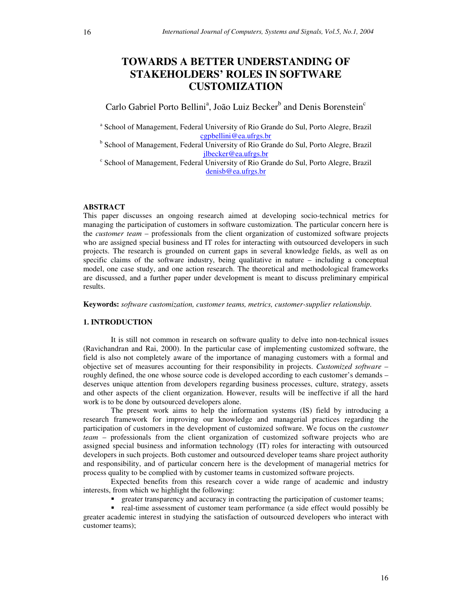# **TOWARDS A BETTER UNDERSTANDING OF STAKEHOLDERS' ROLES IN SOFTWARE CUSTOMIZATION**

Carlo Gabriel Porto Bellini<sup>a</sup>, João Luiz Becker<sup>b</sup> and Denis Borenstein<sup>c</sup>

<sup>a</sup> School of Management, Federal University of Rio Grande do Sul, Porto Alegre, Brazil cgpbellini@ea.ufrgs.br

<sup>b</sup> School of Management, Federal University of Rio Grande do Sul, Porto Alegre, Brazil jlbecker@ea.ufrgs.br

c School of Management, Federal University of Rio Grande do Sul, Porto Alegre, Brazil denisb@ea.ufrgs.br

## **ABSTRACT**

This paper discusses an ongoing research aimed at developing socio-technical metrics for managing the participation of customers in software customization. The particular concern here is the *customer team* – professionals from the client organization of customized software projects who are assigned special business and IT roles for interacting with outsourced developers in such projects. The research is grounded on current gaps in several knowledge fields, as well as on specific claims of the software industry, being qualitative in nature – including a conceptual model, one case study, and one action research. The theoretical and methodological frameworks are discussed, and a further paper under development is meant to discuss preliminary empirical results.

**Keywords:** *software customization, customer teams, metrics, customer-supplier relationship.*

## **1. INTRODUCTION**

It is still not common in research on software quality to delve into non-technical issues (Ravichandran and Rai, 2000). In the particular case of implementing customized software, the field is also not completely aware of the importance of managing customers with a formal and objective set of measures accounting for their responsibility in projects. *Customized software* – roughly defined, the one whose source code is developed according to each customer's demands – deserves unique attention from developers regarding business processes, culture, strategy, assets and other aspects of the client organization. However, results will be ineffective if all the hard work is to be done by outsourced developers alone.

The present work aims to help the information systems (IS) field by introducing a research framework for improving our knowledge and managerial practices regarding the participation of customers in the development of customized software. We focus on the *customer team* – professionals from the client organization of customized software projects who are assigned special business and information technology (IT) roles for interacting with outsourced developers in such projects. Both customer and outsourced developer teams share project authority and responsibility, and of particular concern here is the development of managerial metrics for process quality to be complied with by customer teams in customized software projects.

Expected benefits from this research cover a wide range of academic and industry interests, from which we highlight the following:

**•** greater transparency and accuracy in contracting the participation of customer teams;

 real-time assessment of customer team performance (a side effect would possibly be greater academic interest in studying the satisfaction of outsourced developers who interact with customer teams);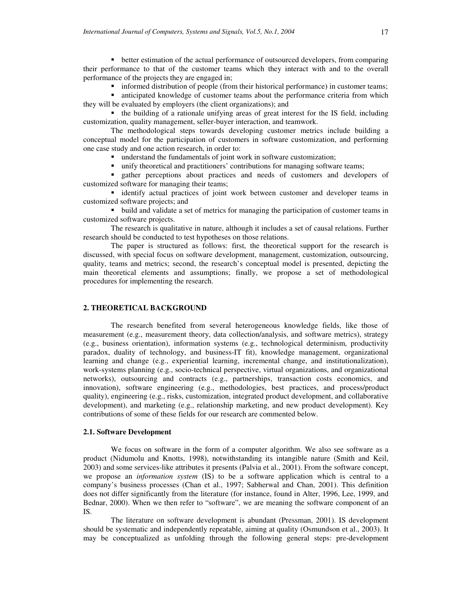**•** better estimation of the actual performance of outsourced developers, from comparing their performance to that of the customer teams which they interact with and to the overall performance of the projects they are engaged in;

**informed distribution of people (from their historical performance) in customer teams;** 

 anticipated knowledge of customer teams about the performance criteria from which they will be evaluated by employers (the client organizations); and

 the building of a rationale unifying areas of great interest for the IS field, including customization, quality management, seller-buyer interaction, and teamwork.

The methodological steps towards developing customer metrics include building a conceptual model for the participation of customers in software customization, and performing one case study and one action research, in order to:

understand the fundamentals of joint work in software customization;

unify theoretical and practitioners' contributions for managing software teams;

 gather perceptions about practices and needs of customers and developers of customized software for managing their teams;

 identify actual practices of joint work between customer and developer teams in customized software projects; and

 build and validate a set of metrics for managing the participation of customer teams in customized software projects.

The research is qualitative in nature, although it includes a set of causal relations. Further research should be conducted to test hypotheses on those relations.

The paper is structured as follows: first, the theoretical support for the research is discussed, with special focus on software development, management, customization, outsourcing, quality, teams and metrics; second, the research's conceptual model is presented, depicting the main theoretical elements and assumptions; finally, we propose a set of methodological procedures for implementing the research.

## **2. THEORETICAL BACKGROUND**

The research benefited from several heterogeneous knowledge fields, like those of measurement (e.g., measurement theory, data collection/analysis, and software metrics), strategy (e.g., business orientation), information systems (e.g., technological determinism, productivity paradox, duality of technology, and business-IT fit), knowledge management, organizational learning and change (e.g., experiential learning, incremental change, and institutionalization), work-systems planning (e.g., socio-technical perspective, virtual organizations, and organizational networks), outsourcing and contracts (e.g., partnerships, transaction costs economics, and innovation), software engineering (e.g., methodologies, best practices, and process/product quality), engineering (e.g., risks, customization, integrated product development, and collaborative development), and marketing (e.g., relationship marketing, and new product development). Key contributions of some of these fields for our research are commented below.

### **2.1. Software Development**

We focus on software in the form of a computer algorithm. We also see software as a product (Nidumolu and Knotts, 1998), notwithstanding its intangible nature (Smith and Keil, 2003) and some services-like attributes it presents (Palvia et al., 2001). From the software concept, we propose an *information system* (IS) to be a software application which is central to a company's business processes (Chan et al., 1997; Sabherwal and Chan, 2001). This definition does not differ significantly from the literature (for instance, found in Alter, 1996, Lee, 1999, and Bednar, 2000). When we then refer to "software", we are meaning the software component of an IS.

The literature on software development is abundant (Pressman, 2001). IS development should be systematic and independently repeatable, aiming at quality (Osmundson et al., 2003). It may be conceptualized as unfolding through the following general steps: pre-development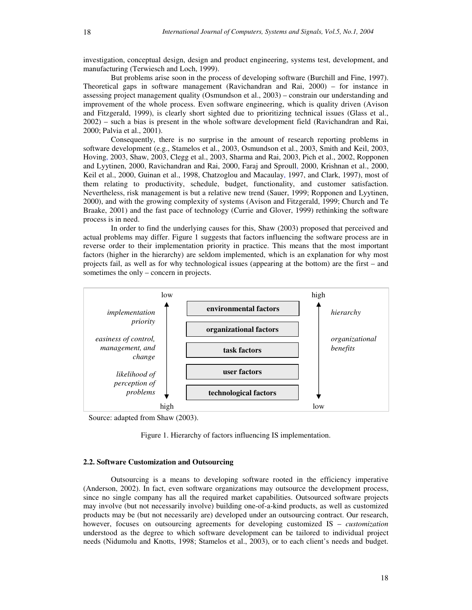investigation, conceptual design, design and product engineering, systems test, development, and manufacturing (Terwiesch and Loch, 1999).

But problems arise soon in the process of developing software (Burchill and Fine, 1997). Theoretical gaps in software management (Ravichandran and Rai, 2000) – for instance in assessing project management quality (Osmundson et al., 2003) – constrain our understanding and improvement of the whole process. Even software engineering, which is quality driven (Avison and Fitzgerald, 1999), is clearly short sighted due to prioritizing technical issues (Glass et al., 2002) – such a bias is present in the whole software development field (Ravichandran and Rai, 2000; Palvia et al., 2001).

Consequently, there is no surprise in the amount of research reporting problems in software development (e.g., Stamelos et al., 2003, Osmundson et al., 2003, Smith and Keil, 2003, Hoving, 2003, Shaw, 2003, Clegg et al., 2003, Sharma and Rai, 2003, Pich et al., 2002, Ropponen and Lyytinen, 2000, Ravichandran and Rai, 2000, Faraj and Sproull, 2000, Krishnan et al., 2000, Keil et al., 2000, Guinan et al., 1998, Chatzoglou and Macaulay, 1997, and Clark, 1997), most of them relating to productivity, schedule, budget, functionality, and customer satisfaction. Nevertheless, risk management is but a relative new trend (Sauer, 1999; Ropponen and Lyytinen, 2000), and with the growing complexity of systems (Avison and Fitzgerald, 1999; Church and Te Braake, 2001) and the fast pace of technology (Currie and Glover, 1999) rethinking the software process is in need.

In order to find the underlying causes for this, Shaw (2003) proposed that perceived and actual problems may differ. Figure 1 suggests that factors influencing the software process are in reverse order to their implementation priority in practice. This means that the most important factors (higher in the hierarchy) are seldom implemented, which is an explanation for why most projects fail, as well as for why technological issues (appearing at the bottom) are the first – and sometimes the only – concern in projects.



Source: adapted from Shaw (2003).

Figure 1. Hierarchy of factors influencing IS implementation.

#### **2.2. Software Customization and Outsourcing**

Outsourcing is a means to developing software rooted in the efficiency imperative (Anderson, 2002). In fact, even software organizations may outsource the development process, since no single company has all the required market capabilities. Outsourced software projects may involve (but not necessarily involve) building one-of-a-kind products, as well as customized products may be (but not necessarily are) developed under an outsourcing contract. Our research, however, focuses on outsourcing agreements for developing customized IS – *customization* understood as the degree to which software development can be tailored to individual project needs (Nidumolu and Knotts, 1998; Stamelos et al., 2003), or to each client's needs and budget.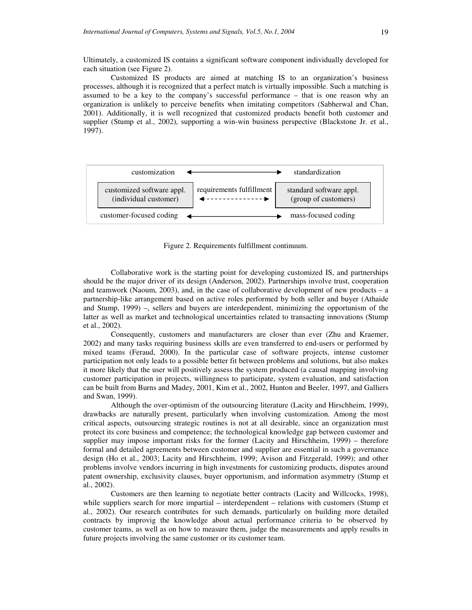Ultimately, a customized IS contains a significant software component individually developed for each situation (see Figure 2).

Customized IS products are aimed at matching IS to an organization's business processes, although it is recognized that a perfect match is virtually impossible. Such a matching is assumed to be a key to the company's successful performance – that is one reason why an organization is unlikely to perceive benefits when imitating competitors (Sabherwal and Chan, 2001). Additionally, it is well recognized that customized products benefit both customer and supplier (Stump et al., 2002), supporting a win-win business perspective (Blackstone Jr. et al., 1997).



Figure 2. Requirements fulfillment continuum.

Collaborative work is the starting point for developing customized IS, and partnerships should be the major driver of its design (Anderson, 2002). Partnerships involve trust, cooperation and teamwork (Naoum, 2003), and, in the case of collaborative development of new products – a partnership-like arrangement based on active roles performed by both seller and buyer (Athaide and Stump, 1999) –, sellers and buyers are interdependent, minimizing the opportunism of the latter as well as market and technological uncertainties related to transacting innovations (Stump et al., 2002).

Consequently, customers and manufacturers are closer than ever (Zhu and Kraemer, 2002) and many tasks requiring business skills are even transferred to end-users or performed by mixed teams (Feraud, 2000). In the particular case of software projects, intense customer participation not only leads to a possible better fit between problems and solutions, but also makes it more likely that the user will positively assess the system produced (a causal mapping involving customer participation in projects, willingness to participate, system evaluation, and satisfaction can be built from Burns and Madey, 2001, Kim et al., 2002, Hunton and Beeler, 1997, and Galliers and Swan, 1999).

Although the over-optimism of the outsourcing literature (Lacity and Hirschheim, 1999), drawbacks are naturally present, particularly when involving customization. Among the most critical aspects, outsourcing strategic routines is not at all desirable, since an organization must protect its core business and competence; the technological knowledge gap between customer and supplier may impose important risks for the former (Lacity and Hirschheim, 1999) – therefore formal and detailed agreements between customer and supplier are essential in such a governance design (Ho et al., 2003; Lacity and Hirschheim, 1999; Avison and Fitzgerald, 1999); and other problems involve vendors incurring in high investments for customizing products, disputes around patent ownership, exclusivity clauses, buyer opportunism, and information asymmetry (Stump et al., 2002).

Customers are then learning to negotiate better contracts (Lacity and Willcocks, 1998), while suppliers search for more impartial – interdependent – relations with customers (Stump et al., 2002). Our research contributes for such demands, particularly on building more detailed contracts by improvig the knowledge about actual performance criteria to be observed by customer teams, as well as on how to measure them, judge the measurements and apply results in future projects involving the same customer or its customer team.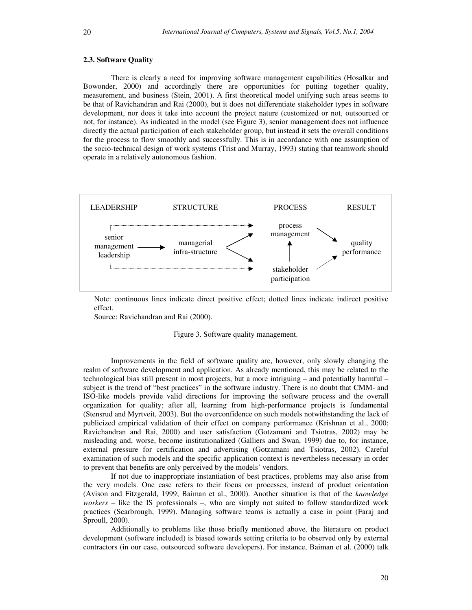## **2.3. Software Quality**

There is clearly a need for improving software management capabilities (Hosalkar and Bowonder, 2000) and accordingly there are opportunities for putting together quality, measurement, and business (Stein, 2001). A first theoretical model unifying such areas seems to be that of Ravichandran and Rai (2000), but it does not differentiate stakeholder types in software development, nor does it take into account the project nature (customized or not, outsourced or not, for instance). As indicated in the model (see Figure 3), senior management does not influence directly the actual participation of each stakeholder group, but instead it sets the overall conditions for the process to flow smoothly and successfully. This is in accordance with one assumption of the socio-technical design of work systems (Trist and Murray, 1993) stating that teamwork should operate in a relatively autonomous fashion.



Note: continuous lines indicate direct positive effect; dotted lines indicate indirect positive effect.

Source: Ravichandran and Rai (2000).

Figure 3. Software quality management.

Improvements in the field of software quality are, however, only slowly changing the realm of software development and application. As already mentioned, this may be related to the technological bias still present in most projects, but a more intriguing – and potentially harmful – subject is the trend of "best practices" in the software industry. There is no doubt that CMM- and ISO-like models provide valid directions for improving the software process and the overall organization for quality; after all, learning from high-performance projects is fundamental (Stensrud and Myrtveit, 2003). But the overconfidence on such models notwithstanding the lack of publicized empirical validation of their effect on company performance (Krishnan et al., 2000; Ravichandran and Rai, 2000) and user satisfaction (Gotzamani and Tsiotras, 2002) may be misleading and, worse, become institutionalized (Galliers and Swan, 1999) due to, for instance, external pressure for certification and advertising (Gotzamani and Tsiotras, 2002). Careful examination of such models and the specific application context is nevertheless necessary in order to prevent that benefits are only perceived by the models' vendors.

If not due to inappropriate instantiation of best practices, problems may also arise from the very models. One case refers to their focus on processes, instead of product orientation (Avison and Fitzgerald, 1999; Baiman et al., 2000). Another situation is that of the *knowledge workers* – like the IS professionals –, who are simply not suited to follow standardized work practices (Scarbrough, 1999). Managing software teams is actually a case in point (Faraj and Sproull, 2000).

Additionally to problems like those briefly mentioned above, the literature on product development (software included) is biased towards setting criteria to be observed only by external contractors (in our case, outsourced software developers). For instance, Baiman et al. (2000) talk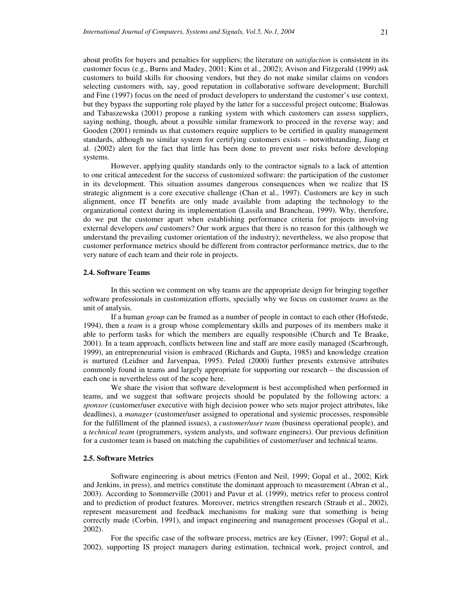about profits for buyers and penalties for suppliers; the literature on *satisfaction* is consistent in its customer focus (e.g., Burns and Madey, 2001; Kim et al., 2002); Avison and Fitzgerald (1999) ask customers to build skills for choosing vendors, but they do not make similar claims on vendors selecting customers with, say, good reputation in collaborative software development; Burchill and Fine (1997) focus on the need of product developers to understand the customer's use context, but they bypass the supporting role played by the latter for a successful project outcome; Bialowas and Tabaszewska (2001) propose a ranking system with which customers can assess suppliers, saying nothing, though, about a possible similar framework to proceed in the reverse way; and Gooden (2001) reminds us that customers require suppliers to be certified in quality management standards, although no similar system for certifying customers exists – notwithstanding, Jiang et al. (2002) alert for the fact that little has been done to prevent user risks before developing systems.

However, applying quality standards only to the contractor signals to a lack of attention to one critical antecedent for the success of customized software: the participation of the customer in its development. This situation assumes dangerous consequences when we realize that IS strategic alignment is a core executive challenge (Chan et al., 1997). Customers are key in such alignment, once IT benefits are only made available from adapting the technology to the organizational context during its implementation (Lassila and Brancheau, 1999). Why, therefore, do we put the customer apart when establishing performance criteria for projects involving external developers *and* customers? Our work argues that there is no reason for this (although we understand the prevailing customer orientation of the industry); nevertheless, we also propose that customer performance metrics should be different from contractor performance metrics, due to the very nature of each team and their role in projects.

#### **2.4. Software Teams**

In this section we comment on why teams are the appropriate design for bringing together software professionals in customization efforts, specially why we focus on customer *teams* as the unit of analysis.

If a human *group* can be framed as a number of people in contact to each other (Hofstede, 1994), then a *team* is a group whose complementary skills and purposes of its members make it able to perform tasks for which the members are equally responsible (Church and Te Braake, 2001). In a team approach, conflicts between line and staff are more easily managed (Scarbrough, 1999), an entrepreneurial vision is embraced (Richards and Gupta, 1985) and knowledge creation is nurtured (Leidner and Jarvenpaa, 1995). Peled (2000) further presents extensive attributes commonly found in teams and largely appropriate for supporting our research – the discussion of each one is nevertheless out of the scope here.

We share the vision that software development is best accomplished when performed in teams, and we suggest that software projects should be populated by the following actors: a *sponsor* (customer/user executive with high decision power who sets major project attributes, like deadlines), a *manager* (customer/user assigned to operational and systemic processes, responsible for the fulfillment of the planned issues), a *customer/user team* (business operational people), and a *technical team* (programmers, system analysts, and software engineers). Our previous definition for a customer team is based on matching the capabilities of customer/user and technical teams.

## **2.5. Software Metrics**

Software engineering is about metrics (Fenton and Neil, 1999; Gopal et al., 2002; Kirk and Jenkins, in press), and metrics constitute the dominant approach to measurement (Abran et al., 2003). According to Sommerville (2001) and Pavur et al. (1999), metrics refer to process control and to prediction of product features. Moreover, metrics strengthen research (Straub et al., 2002), represent measurement and feedback mechanisms for making sure that something is being correctly made (Corbin, 1991), and impact engineering and management processes (Gopal et al., 2002).

For the specific case of the software process, metrics are key (Eisner, 1997; Gopal et al., 2002), supporting IS project managers during estimation, technical work, project control, and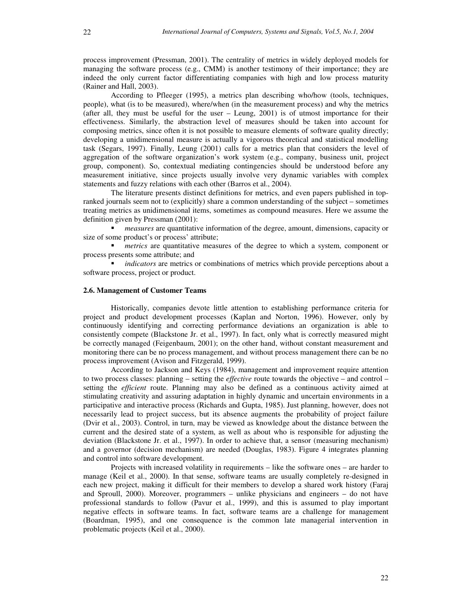process improvement (Pressman, 2001). The centrality of metrics in widely deployed models for managing the software process (e.g., CMM) is another testimony of their importance; they are indeed the only current factor differentiating companies with high and low process maturity (Rainer and Hall, 2003).

According to Pfleeger (1995), a metrics plan describing who/how (tools, techniques, people), what (is to be measured), where/when (in the measurement process) and why the metrics (after all, they must be useful for the user – Leung, 2001) is of utmost importance for their effectiveness. Similarly, the abstraction level of measures should be taken into account for composing metrics, since often it is not possible to measure elements of software quality directly; developing a unidimensional measure is actually a vigorous theoretical and statistical modelling task (Segars, 1997). Finally, Leung (2001) calls for a metrics plan that considers the level of aggregation of the software organization's work system (e.g., company, business unit, project group, component). So, contextual mediating contingencies should be understood before any measurement initiative, since projects usually involve very dynamic variables with complex statements and fuzzy relations with each other (Barros et al., 2004).

The literature presents distinct definitions for metrics, and even papers published in topranked journals seem not to (explicitly) share a common understanding of the subject – sometimes treating metrics as unidimensional items, sometimes as compound measures. Here we assume the definition given by Pressman (2001):

 *measures* are quantitative information of the degree, amount, dimensions, capacity or size of some product's or process' attribute;

**n** *metrics* are quantitative measures of the degree to which a system, component or process presents some attribute; and

 *indicators* are metrics or combinations of metrics which provide perceptions about a software process, project or product.

#### **2.6. Management of Customer Teams**

Historically, companies devote little attention to establishing performance criteria for project and product development processes (Kaplan and Norton, 1996). However, only by continuously identifying and correcting performance deviations an organization is able to consistently compete (Blackstone Jr. et al., 1997). In fact, only what is correctly measured might be correctly managed (Feigenbaum, 2001); on the other hand, without constant measurement and monitoring there can be no process management, and without process management there can be no process improvement (Avison and Fitzgerald, 1999).

According to Jackson and Keys (1984), management and improvement require attention to two process classes: planning – setting the *effective* route towards the objective – and control – setting the *efficient* route. Planning may also be defined as a continuous activity aimed at stimulating creativity and assuring adaptation in highly dynamic and uncertain environments in a participative and interactive process (Richards and Gupta, 1985). Just planning, however, does not necessarily lead to project success, but its absence augments the probability of project failure (Dvir et al., 2003). Control, in turn, may be viewed as knowledge about the distance between the current and the desired state of a system, as well as about who is responsible for adjusting the deviation (Blackstone Jr. et al., 1997). In order to achieve that, a sensor (measuring mechanism) and a governor (decision mechanism) are needed (Douglas, 1983). Figure 4 integrates planning and control into software development.

Projects with increased volatility in requirements – like the software ones – are harder to manage (Keil et al., 2000). In that sense, software teams are usually completely re-designed in each new project, making it difficult for their members to develop a shared work history (Faraj and Sproull, 2000). Moreover, programmers – unlike physicians and engineers – do not have professional standards to follow (Pavur et al., 1999), and this is assumed to play important negative effects in software teams. In fact, software teams are a challenge for management (Boardman, 1995), and one consequence is the common late managerial intervention in problematic projects (Keil et al., 2000).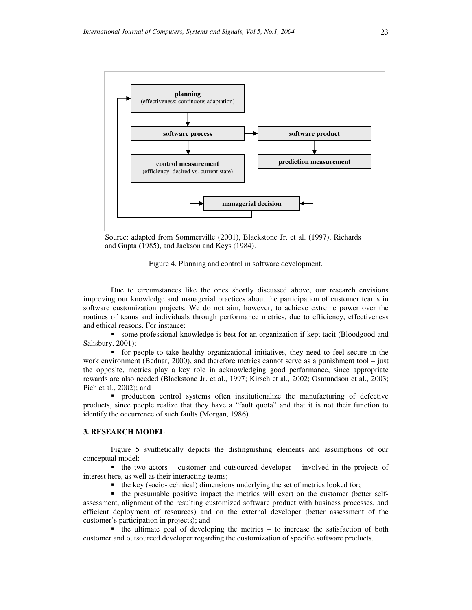

Source: adapted from Sommerville (2001), Blackstone Jr. et al. (1997), Richards and Gupta (1985), and Jackson and Keys (1984).



Due to circumstances like the ones shortly discussed above, our research envisions improving our knowledge and managerial practices about the participation of customer teams in software customization projects. We do not aim, however, to achieve extreme power over the routines of teams and individuals through performance metrics, due to efficiency, effectiveness and ethical reasons. For instance:

 some professional knowledge is best for an organization if kept tacit (Bloodgood and Salisbury, 2001);

 for people to take healthy organizational initiatives, they need to feel secure in the work environment (Bednar, 2000), and therefore metrics cannot serve as a punishment tool – just the opposite, metrics play a key role in acknowledging good performance, since appropriate rewards are also needed (Blackstone Jr. et al., 1997; Kirsch et al., 2002; Osmundson et al., 2003; Pich et al., 2002); and

 production control systems often institutionalize the manufacturing of defective products, since people realize that they have a "fault quota" and that it is not their function to identify the occurrence of such faults (Morgan, 1986).

## **3. RESEARCH MODEL**

Figure 5 synthetically depicts the distinguishing elements and assumptions of our conceptual model:

 $\blacksquare$  the two actors – customer and outsourced developer – involved in the projects of interest here, as well as their interacting teams;

 $\bullet$  the key (socio-technical) dimensions underlying the set of metrics looked for;

 the presumable positive impact the metrics will exert on the customer (better selfassessment, alignment of the resulting customized software product with business processes, and efficient deployment of resources) and on the external developer (better assessment of the customer's participation in projects); and

 $\blacksquare$  the ultimate goal of developing the metrics – to increase the satisfaction of both customer and outsourced developer regarding the customization of specific software products.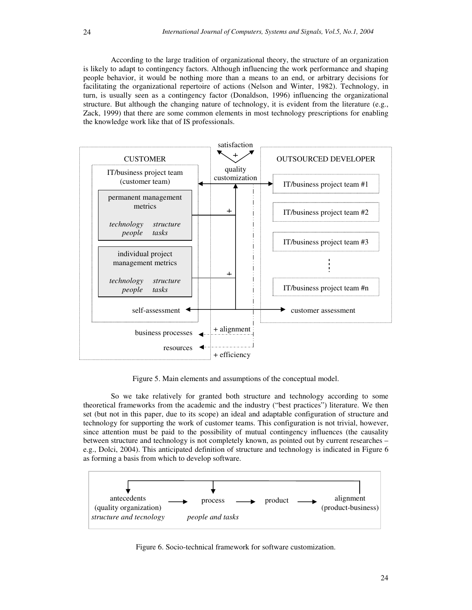According to the large tradition of organizational theory, the structure of an organization is likely to adapt to contingency factors. Although influencing the work performance and shaping people behavior, it would be nothing more than a means to an end, or arbitrary decisions for facilitating the organizational repertoire of actions (Nelson and Winter, 1982). Technology, in turn, is usually seen as a contingency factor (Donaldson, 1996) influencing the organizational structure. But although the changing nature of technology, it is evident from the literature (e.g., Zack, 1999) that there are some common elements in most technology prescriptions for enabling the knowledge work like that of IS professionals.



Figure 5. Main elements and assumptions of the conceptual model.

So we take relatively for granted both structure and technology according to some theoretical frameworks from the academic and the industry ("best practices") literature. We then set (but not in this paper, due to its scope) an ideal and adaptable configuration of structure and technology for supporting the work of customer teams. This configuration is not trivial, however, since attention must be paid to the possibility of mutual contingency influences (the causality between structure and technology is not completely known, as pointed out by current researches – e.g., Dolci, 2004). This anticipated definition of structure and technology is indicated in Figure 6 as forming a basis from which to develop software.



Figure 6. Socio-technical framework for software customization.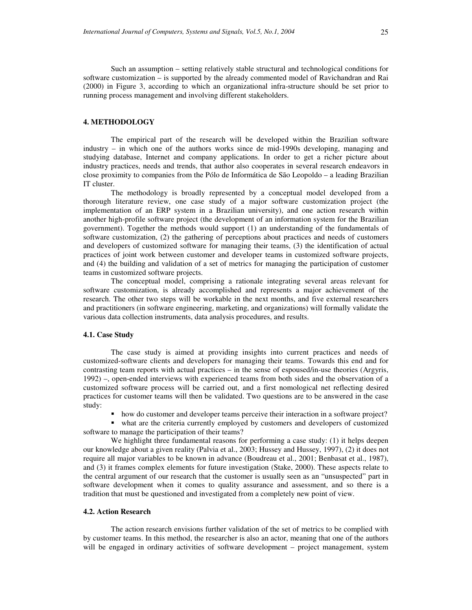Such an assumption – setting relatively stable structural and technological conditions for software customization – is supported by the already commented model of Ravichandran and Rai (2000) in Figure 3, according to which an organizational infra-structure should be set prior to running process management and involving different stakeholders.

## **4. METHODOLOGY**

The empirical part of the research will be developed within the Brazilian software industry – in which one of the authors works since de mid-1990s developing, managing and studying database, Internet and company applications. In order to get a richer picture about industry practices, needs and trends, that author also cooperates in several research endeavors in close proximity to companies from the Pólo de Informática de São Leopoldo – a leading Brazilian IT cluster.

The methodology is broadly represented by a conceptual model developed from a thorough literature review, one case study of a major software customization project (the implementation of an ERP system in a Brazilian university), and one action research within another high-profile software project (the development of an information system for the Brazilian government). Together the methods would support (1) an understanding of the fundamentals of software customization, (2) the gathering of perceptions about practices and needs of customers and developers of customized software for managing their teams, (3) the identification of actual practices of joint work between customer and developer teams in customized software projects, and (4) the building and validation of a set of metrics for managing the participation of customer teams in customized software projects.

The conceptual model, comprising a rationale integrating several areas relevant for software customization, is already accomplished and represents a major achievement of the research. The other two steps will be workable in the next months, and five external researchers and practitioners (in software engineering, marketing, and organizations) will formally validate the various data collection instruments, data analysis procedures, and results.

#### **4.1. Case Study**

The case study is aimed at providing insights into current practices and needs of customized-software clients and developers for managing their teams. Towards this end and for contrasting team reports with actual practices – in the sense of espoused/in-use theories (Argyris, 1992) –, open-ended interviews with experienced teams from both sides and the observation of a customized software process will be carried out, and a first nomological net reflecting desired practices for customer teams will then be validated. Two questions are to be answered in the case study:

how do customer and developer teams perceive their interaction in a software project?

 what are the criteria currently employed by customers and developers of customized software to manage the participation of their teams?

We highlight three fundamental reasons for performing a case study: (1) it helps deepen our knowledge about a given reality (Palvia et al., 2003; Hussey and Hussey, 1997), (2) it does not require all major variables to be known in advance (Boudreau et al., 2001; Benbasat et al., 1987), and (3) it frames complex elements for future investigation (Stake, 2000). These aspects relate to the central argument of our research that the customer is usually seen as an "unsuspected" part in software development when it comes to quality assurance and assessment, and so there is a tradition that must be questioned and investigated from a completely new point of view.

#### **4.2. Action Research**

The action research envisions further validation of the set of metrics to be complied with by customer teams. In this method, the researcher is also an actor, meaning that one of the authors will be engaged in ordinary activities of software development – project management, system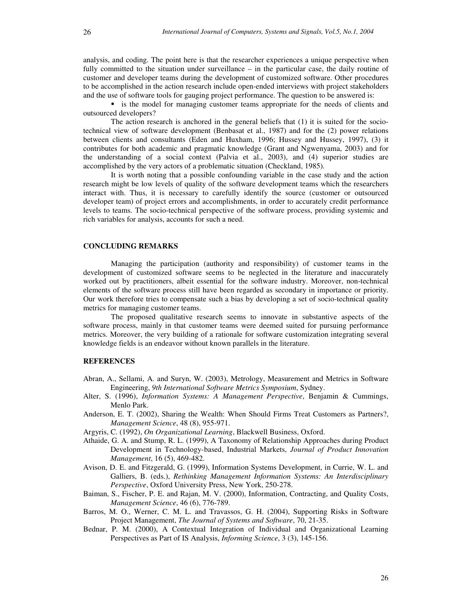analysis, and coding. The point here is that the researcher experiences a unique perspective when fully committed to the situation under surveillance – in the particular case, the daily routine of customer and developer teams during the development of customized software. Other procedures to be accomplished in the action research include open-ended interviews with project stakeholders and the use of software tools for gauging project performance. The question to be answered is:

is the model for managing customer teams appropriate for the needs of clients and outsourced developers?

The action research is anchored in the general beliefs that (1) it is suited for the sociotechnical view of software development (Benbasat et al., 1987) and for the (2) power relations between clients and consultants (Eden and Huxham, 1996; Hussey and Hussey, 1997), (3) it contributes for both academic and pragmatic knowledge (Grant and Ngwenyama, 2003) and for the understanding of a social context (Palvia et al., 2003), and (4) superior studies are accomplished by the very actors of a problematic situation (Checkland, 1985).

It is worth noting that a possible confounding variable in the case study and the action research might be low levels of quality of the software development teams which the researchers interact with. Thus, it is necessary to carefully identify the source (customer or outsourced developer team) of project errors and accomplishments, in order to accurately credit performance levels to teams. The socio-technical perspective of the software process, providing systemic and rich variables for analysis, accounts for such a need.

#### **CONCLUDING REMARKS**

Managing the participation (authority and responsibility) of customer teams in the development of customized software seems to be neglected in the literature and inaccurately worked out by practitioners, albeit essential for the software industry. Moreover, non-technical elements of the software process still have been regarded as secondary in importance or priority. Our work therefore tries to compensate such a bias by developing a set of socio-technical quality metrics for managing customer teams.

The proposed qualitative research seems to innovate in substantive aspects of the software process, mainly in that customer teams were deemed suited for pursuing performance metrics. Moreover, the very building of a rationale for software customization integrating several knowledge fields is an endeavor without known parallels in the literature.

#### **REFERENCES**

- Abran, A., Sellami, A. and Suryn, W. (2003), Metrology, Measurement and Metrics in Software Engineering, *9th International Software Metrics Symposium*, Sydney.
- Alter, S. (1996), *Information Systems: A Management Perspective*, Benjamin & Cummings, Menlo Park.
- Anderson, E. T. (2002), Sharing the Wealth: When Should Firms Treat Customers as Partners?, *Management Science*, 48 (8), 955-971.
- Argyris, C. (1992), *On Organizational Learning*, Blackwell Business, Oxford.
- Athaide, G. A. and Stump, R. L. (1999), A Taxonomy of Relationship Approaches during Product Development in Technology-based, Industrial Markets, *Journal of Product Innovation Management*, 16 (5), 469-482.
- Avison, D. E. and Fitzgerald, G. (1999), Information Systems Development, in Currie, W. L. and Galliers, B. (eds.), *Rethinking Management Information Systems: An Interdisciplinary Perspective*, Oxford University Press, New York, 250-278.
- Baiman, S., Fischer, P. E. and Rajan, M. V. (2000), Information, Contracting, and Quality Costs, *Management Science*, 46 (6), 776-789.
- Barros, M. O., Werner, C. M. L. and Travassos, G. H. (2004), Supporting Risks in Software Project Management, *The Journal of Systems and Software*, 70, 21-35.
- Bednar, P. M. (2000), A Contextual Integration of Individual and Organizational Learning Perspectives as Part of IS Analysis, *Informing Science*, 3 (3), 145-156.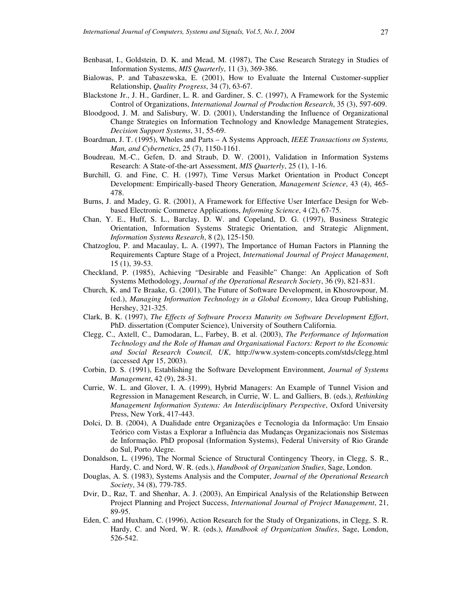- Benbasat, I., Goldstein, D. K. and Mead, M. (1987), The Case Research Strategy in Studies of Information Systems, *MIS Quarterly*, 11 (3), 369-386.
- Bialowas, P. and Tabaszewska, E. (2001), How to Evaluate the Internal Customer-supplier Relationship, *Quality Progress*, 34 (7), 63-67.
- Blackstone Jr., J. H., Gardiner, L. R. and Gardiner, S. C. (1997), A Framework for the Systemic Control of Organizations, *International Journal of Production Research*, 35 (3), 597-609.
- Bloodgood, J. M. and Salisbury, W. D. (2001), Understanding the Influence of Organizational Change Strategies on Information Technology and Knowledge Management Strategies, *Decision Support Systems*, 31, 55-69.
- Boardman, J. T. (1995), Wholes and Parts A Systems Approach, *IEEE Transactions on Systems, Man, and Cybernetics*, 25 (7), 1150-1161.
- Boudreau, M.-C., Gefen, D. and Straub, D. W. (2001), Validation in Information Systems Research: A State-of-the-art Assessment, *MIS Quarterly*, 25 (1), 1-16.
- Burchill, G. and Fine, C. H. (1997), Time Versus Market Orientation in Product Concept Development: Empirically-based Theory Generation, *Management Science*, 43 (4), 465- 478.
- Burns, J. and Madey, G. R. (2001), A Framework for Effective User Interface Design for Webbased Electronic Commerce Applications, *Informing Science*, 4 (2), 67-75.
- Chan, Y. E., Huff, S. L., Barclay, D. W. and Copeland, D. G. (1997), Business Strategic Orientation, Information Systems Strategic Orientation, and Strategic Alignment, *Information Systems Research*, 8 (2), 125-150.
- Chatzoglou, P. and Macaulay, L. A. (1997), The Importance of Human Factors in Planning the Requirements Capture Stage of a Project, *International Journal of Project Management*, 15 (1), 39-53.
- Checkland, P. (1985), Achieving "Desirable and Feasible" Change: An Application of Soft Systems Methodology, *Journal of the Operational Research Society*, 36 (9), 821-831.
- Church, K. and Te Braake, G. (2001), The Future of Software Development, in Khosrowpour, M. (ed.), *Managing Information Technology in a Global Economy*, Idea Group Publishing, Hershey, 321-325.
- Clark, B. K. (1997), *The Effects of Software Process Maturity on Software Development Effort*, PhD. dissertation (Computer Science), University of Southern California.
- Clegg, C., Axtell, C., Damodaran, L., Farbey, B. et al. (2003), *The Performance of Information Technology and the Role of Human and Organisational Factors: Report to the Economic and Social Research Council, UK*, http://www.system-concepts.com/stds/clegg.html (accessed Apr 15, 2003).
- Corbin, D. S. (1991), Establishing the Software Development Environment, *Journal of Systems Management*, 42 (9), 28-31.
- Currie, W. L. and Glover, I. A. (1999), Hybrid Managers: An Example of Tunnel Vision and Regression in Management Research, in Currie, W. L. and Galliers, B. (eds.), *Rethinking Management Information Systems: An Interdisciplinary Perspective*, Oxford University Press, New York, 417-443.
- Dolci, D. B. (2004), A Dualidade entre Organizações e Tecnologia da Informação: Um Ensaio Teórico com Vistas a Explorar a Influência das Mudanças Organizacionais nos Sistemas de Informação. PhD proposal (Information Systems), Federal University of Rio Grande do Sul, Porto Alegre.
- Donaldson, L. (1996), The Normal Science of Structural Contingency Theory, in Clegg, S. R., Hardy, C. and Nord, W. R. (eds.), *Handbook of Organization Studies*, Sage, London.
- Douglas, A. S. (1983), Systems Analysis and the Computer, *Journal of the Operational Research Society*, 34 (8), 779-785.
- Dvir, D., Raz, T. and Shenhar, A. J. (2003), An Empirical Analysis of the Relationship Between Project Planning and Project Success, *International Journal of Project Management*, 21, 89-95.
- Eden, C. and Huxham, C. (1996), Action Research for the Study of Organizations, in Clegg, S. R. Hardy, C. and Nord, W. R. (eds.), *Handbook of Organization Studies*, Sage, London, 526-542.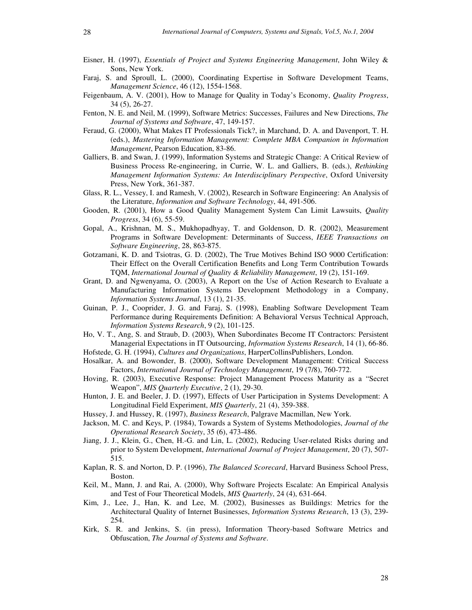- Eisner, H. (1997), *Essentials of Project and Systems Engineering Management*, John Wiley & Sons, New York.
- Faraj, S. and Sproull, L. (2000), Coordinating Expertise in Software Development Teams, *Management Science*, 46 (12), 1554-1568.
- Feigenbaum, A. V. (2001), How to Manage for Quality in Today's Economy, *Quality Progress*, 34 (5), 26-27.
- Fenton, N. E. and Neil, M. (1999), Software Metrics: Successes, Failures and New Directions, *The Journal of Systems and Software*, 47, 149-157.
- Feraud, G. (2000), What Makes IT Professionals Tick?, in Marchand, D. A. and Davenport, T. H. (eds.), *Mastering Information Management: Complete MBA Companion in Information Management*, Pearson Education, 83-86.
- Galliers, B. and Swan, J. (1999), Information Systems and Strategic Change: A Critical Review of Business Process Re-engineering, in Currie, W. L. and Galliers, B. (eds.), *Rethinking Management Information Systems: An Interdisciplinary Perspective*, Oxford University Press, New York, 361-387.
- Glass, R. L., Vessey, I. and Ramesh, V. (2002), Research in Software Engineering: An Analysis of the Literature, *Information and Software Technology*, 44, 491-506.
- Gooden, R. (2001), How a Good Quality Management System Can Limit Lawsuits, *Quality Progress*, 34 (6), 55-59.
- Gopal, A., Krishnan, M. S., Mukhopadhyay, T. and Goldenson, D. R. (2002), Measurement Programs in Software Development: Determinants of Success, *IEEE Transactions on Software Engineering*, 28, 863-875.
- Gotzamani, K. D. and Tsiotras, G. D. (2002), The True Motives Behind ISO 9000 Certification: Their Effect on the Overall Certification Benefits and Long Term Contribution Towards TQM, *International Journal of Quality & Reliability Management*, 19 (2), 151-169.
- Grant, D. and Ngwenyama, O. (2003), A Report on the Use of Action Research to Evaluate a Manufacturing Information Systems Development Methodology in a Company, *Information Systems Journal*, 13 (1), 21-35.
- Guinan, P. J., Cooprider, J. G. and Faraj, S. (1998), Enabling Software Development Team Performance during Requirements Definition: A Behavioral Versus Technical Approach, *Information Systems Research*, 9 (2), 101-125.
- Ho, V. T., Ang, S. and Straub, D. (2003), When Subordinates Become IT Contractors: Persistent Managerial Expectations in IT Outsourcing, *Information Systems Research*, 14 (1), 66-86. Hofstede, G. H. (1994), *Cultures and Organizations*, HarperCollinsPublishers, London.
- Hosalkar, A. and Bowonder, B. (2000), Software Development Management: Critical Success
- Factors, *International Journal of Technology Management*, 19 (7/8), 760-772. Hoving, R. (2003), Executive Response: Project Management Process Maturity as a "Secret Weapon", *MIS Quarterly Executive*, 2 (1), 29-30.
- Hunton, J. E. and Beeler, J. D. (1997), Effects of User Participation in Systems Development: A Longitudinal Field Experiment, *MIS Quarterly*, 21 (4), 359-388.
- Hussey, J. and Hussey, R. (1997), *Business Research*, Palgrave Macmillan, New York.
- Jackson, M. C. and Keys, P. (1984), Towards a System of Systems Methodologies, *Journal of the Operational Research Society*, 35 (6), 473-486.
- Jiang, J. J., Klein, G., Chen, H.-G. and Lin, L. (2002), Reducing User-related Risks during and prior to System Development, *International Journal of Project Management*, 20 (7), 507- 515.
- Kaplan, R. S. and Norton, D. P. (1996), *The Balanced Scorecard*, Harvard Business School Press, Boston.
- Keil, M., Mann, J. and Rai, A. (2000), Why Software Projects Escalate: An Empirical Analysis and Test of Four Theoretical Models, *MIS Quarterly*, 24 (4), 631-664.
- Kim, J., Lee, J., Han, K. and Lee, M. (2002), Businesses as Buildings: Metrics for the Architectural Quality of Internet Businesses, *Information Systems Research*, 13 (3), 239- 254.
- Kirk, S. R. and Jenkins, S. (in press), Information Theory-based Software Metrics and Obfuscation, *The Journal of Systems and Software*.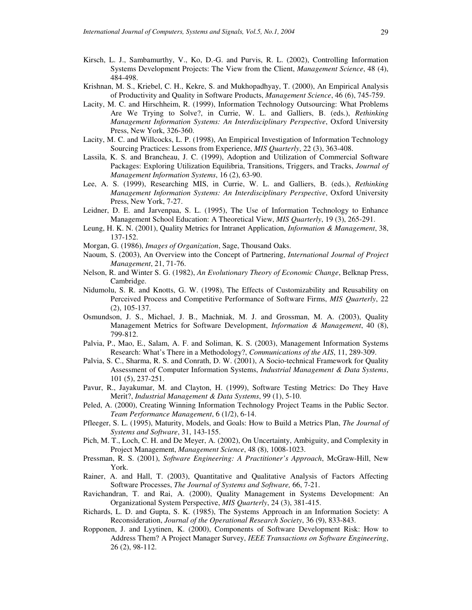- Kirsch, L. J., Sambamurthy, V., Ko, D.-G. and Purvis, R. L. (2002), Controlling Information Systems Development Projects: The View from the Client, *Management Science*, 48 (4), 484-498.
- Krishnan, M. S., Kriebel, C. H., Kekre, S. and Mukhopadhyay, T. (2000), An Empirical Analysis of Productivity and Quality in Software Products, *Management Science*, 46 (6), 745-759.
- Lacity, M. C. and Hirschheim, R. (1999), Information Technology Outsourcing: What Problems Are We Trying to Solve?, in Currie, W. L. and Galliers, B. (eds.), *Rethinking Management Information Systems: An Interdisciplinary Perspective*, Oxford University Press, New York, 326-360.
- Lacity, M. C. and Willcocks, L. P. (1998), An Empirical Investigation of Information Technology Sourcing Practices: Lessons from Experience, *MIS Quarterly*, 22 (3), 363-408.
- Lassila, K. S. and Brancheau, J. C. (1999), Adoption and Utilization of Commercial Software Packages: Exploring Utilization Equilibria, Transitions, Triggers, and Tracks, *Journal of Management Information Systems*, 16 (2), 63-90.
- Lee, A. S. (1999), Researching MIS, in Currie, W. L. and Galliers, B. (eds.), *Rethinking Management Information Systems: An Interdisciplinary Perspective*, Oxford University Press, New York, 7-27.
- Leidner, D. E. and Jarvenpaa, S. L. (1995), The Use of Information Technology to Enhance Management School Education: A Theoretical View, *MIS Quarterly*, 19 (3), 265-291.
- Leung, H. K. N. (2001), Quality Metrics for Intranet Application, *Information & Management*, 38, 137-152.
- Morgan, G. (1986), *Images of Organization*, Sage, Thousand Oaks.
- Naoum, S. (2003), An Overview into the Concept of Partnering, *International Journal of Project Management*, 21, 71-76.
- Nelson, R. and Winter S. G. (1982), *An Evolutionary Theory of Economic Change*, Belknap Press, Cambridge.
- Nidumolu, S. R. and Knotts, G. W. (1998), The Effects of Customizability and Reusability on Perceived Process and Competitive Performance of Software Firms, *MIS Quarterly*, 22 (2), 105-137.
- Osmundson, J. S., Michael, J. B., Machniak, M. J. and Grossman, M. A. (2003), Quality Management Metrics for Software Development, *Information & Management*, 40 (8), 799-812.
- Palvia, P., Mao, E., Salam, A. F. and Soliman, K. S. (2003), Management Information Systems Research: What's There in a Methodology?, *Communications of the AIS*, 11, 289-309.
- Palvia, S. C., Sharma, R. S. and Conrath, D. W. (2001), A Socio-technical Framework for Quality Assessment of Computer Information Systems, *Industrial Management & Data Systems*, 101 (5), 237-251.
- Pavur, R., Jayakumar, M. and Clayton, H. (1999), Software Testing Metrics: Do They Have Merit?, *Industrial Management & Data Systems*, 99 (1), 5-10.
- Peled, A. (2000), Creating Winning Information Technology Project Teams in the Public Sector. *Team Performance Management*, 6 (1/2), 6-14.
- Pfleeger, S. L. (1995), Maturity, Models, and Goals: How to Build a Metrics Plan, *The Journal of Systems and Software*, 31, 143-155.
- Pich, M. T., Loch, C. H. and De Meyer, A. (2002), On Uncertainty, Ambiguity, and Complexity in Project Management, *Management Science*, 48 (8), 1008-1023.
- Pressman, R. S. (2001), *Software Engineering: A Practitioner's Approach*, McGraw-Hill, New York.
- Rainer, A. and Hall, T. (2003), Quantitative and Qualitative Analysis of Factors Affecting Software Processes, *The Journal of Systems and Software,* 66, 7-21.
- Ravichandran, T. and Rai, A. (2000), Quality Management in Systems Development: An Organizational System Perspective, *MIS Quarterly*, 24 (3), 381-415.
- Richards, L. D. and Gupta, S. K. (1985), The Systems Approach in an Information Society: A Reconsideration, *Journal of the Operational Research Society*, 36 (9), 833-843.
- Ropponen, J. and Lyytinen, K. (2000), Components of Software Development Risk: How to Address Them? A Project Manager Survey, *IEEE Transactions on Software Engineering*, 26 (2), 98-112.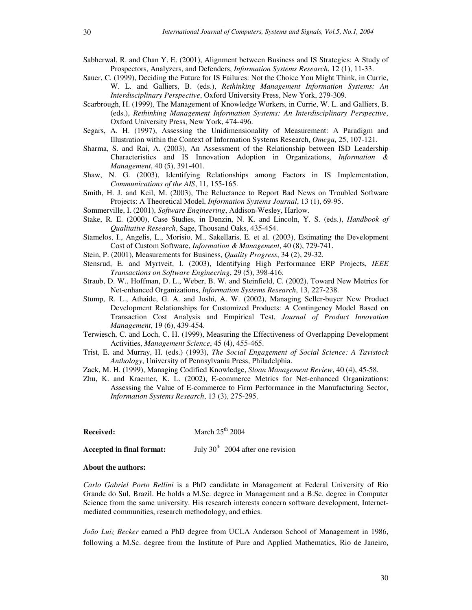- Sabherwal, R. and Chan Y. E. (2001), Alignment between Business and IS Strategies: A Study of Prospectors, Analyzers, and Defenders, *Information Systems Research*, 12 (1), 11-33.
- Sauer, C. (1999), Deciding the Future for IS Failures: Not the Choice You Might Think, in Currie, W. L. and Galliers, B. (eds.), *Rethinking Management Information Systems: An Interdisciplinary Perspective*, Oxford University Press, New York, 279-309.
- Scarbrough, H. (1999), The Management of Knowledge Workers, in Currie, W. L. and Galliers, B. (eds.), *Rethinking Management Information Systems: An Interdisciplinary Perspective*, Oxford University Press, New York, 474-496.
- Segars, A. H. (1997), Assessing the Unidimensionality of Measurement: A Paradigm and Illustration within the Context of Information Systems Research, *Omega*, 25, 107-121.
- Sharma, S. and Rai, A. (2003), An Assessment of the Relationship between ISD Leadership Characteristics and IS Innovation Adoption in Organizations, *Information & Management*, 40 (5), 391-401.
- Shaw, N. G. (2003), Identifying Relationships among Factors in IS Implementation, *Communications of the AIS*, 11, 155-165.
- Smith, H. J. and Keil, M. (2003), The Reluctance to Report Bad News on Troubled Software Projects: A Theoretical Model, *Information Systems Journal*, 13 (1), 69-95.
- Sommerville, I. (2001), *Software Engineering*, Addison-Wesley, Harlow.
- Stake, R. E. (2000), Case Studies, in Denzin, N. K. and Lincoln, Y. S. (eds.), *Handbook of Qualitative Research*, Sage, Thousand Oaks, 435-454.
- Stamelos, I., Angelis, L., Morisio, M., Sakellaris, E. et al. (2003), Estimating the Development Cost of Custom Software, *Information & Management*, 40 (8), 729-741.
- Stein, P. (2001), Measurements for Business, *Quality Progress*, 34 (2), 29-32.
- Stensrud, E. and Myrtveit, I. (2003), Identifying High Performance ERP Projects, *IEEE Transactions on Software Engineering*, 29 (5), 398-416.
- Straub, D. W., Hoffman, D. L., Weber, B. W. and Steinfield, C. (2002), Toward New Metrics for Net-enhanced Organizations, *Information Systems Research*, 13, 227-238.
- Stump, R. L., Athaide, G. A. and Joshi, A. W. (2002), Managing Seller-buyer New Product Development Relationships for Customized Products: A Contingency Model Based on Transaction Cost Analysis and Empirical Test, *Journal of Product Innovation Management*, 19 (6), 439-454.
- Terwiesch, C. and Loch, C. H. (1999), Measuring the Effectiveness of Overlapping Development Activities, *Management Science*, 45 (4), 455-465.
- Trist, E. and Murray, H. (eds.) (1993), *The Social Engagement of Social Science: A Tavistock Anthology*, University of Pennsylvania Press, Philadelphia.
- Zack, M. H. (1999), Managing Codified Knowledge, *Sloan Management Review*, 40 (4), 45-58.
- Zhu, K. and Kraemer, K. L. (2002), E-commerce Metrics for Net-enhanced Organizations: Assessing the Value of E-commerce to Firm Performance in the Manufacturing Sector, *Information Systems Research*, 13 (3), 275-295.

| Received:                 | March $25th$ 2004                   |
|---------------------------|-------------------------------------|
| Accepted in final format: | July $30th$ 2004 after one revision |

#### **About the authors:**

*Carlo Gabriel Porto Bellini* is a PhD candidate in Management at Federal University of Rio Grande do Sul, Brazil. He holds a M.Sc. degree in Management and a B.Sc. degree in Computer Science from the same university. His research interests concern software development, Internetmediated communities, research methodology, and ethics.

*João Luiz Becker* earned a PhD degree from UCLA Anderson School of Management in 1986, following a M.Sc. degree from the Institute of Pure and Applied Mathematics, Rio de Janeiro,